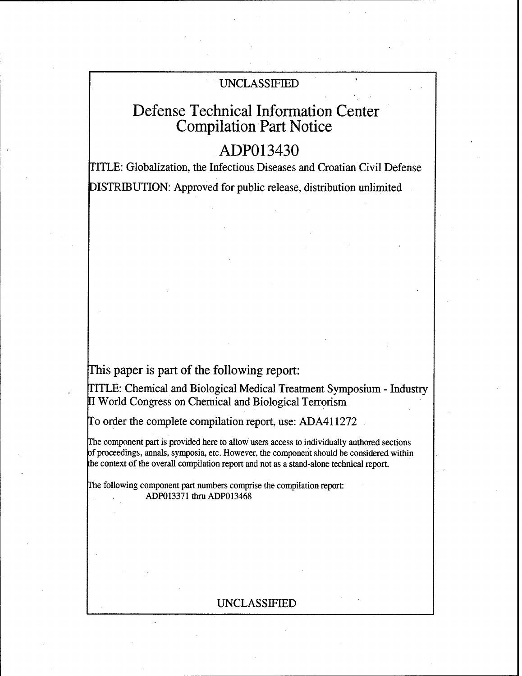# UNCLASSIFIED

# Defense Technical Information Center Compilation Part Notice

# ADP013430

TITLE: Globalization, the Infectious Diseases and Croatian Civil Defense DISTRIBUTION: Approved for public release, distribution unlimited

This paper is part of the following report:

TITLE: Chemical and Biological Medical Treatment Symposium - Industry World Congress on Chemical and Biological Terrorism

Fo order the complete compilation report, use: ADA411272

The component part is provided here to allow users access to individually authored sections of proceedings, annals, symposia, etc. However, the component should be considered within the context of the overall compilation report and not as a stand-alone technical report.

The following component part numbers comprise the compilation report: ADP013371 thru ADP013468

# UNCLASSIFIED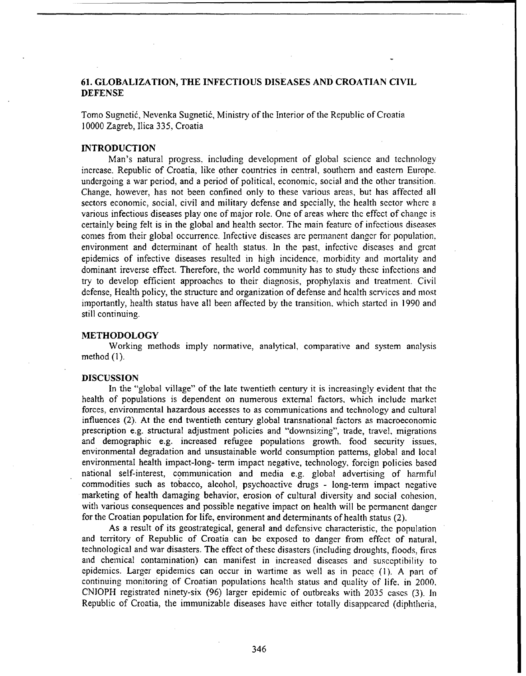# **61. GLOBALIZATION,** THE **INFECTIOUS** DISEASES **AND CROATIAN** CIVIL **DEFENSE**

Tomo Sugneti6, Nevenka Sugneti6, Ministry of the Interior of the Republic of Croatia 10000 Zagreb, Ilica 335, Croatia

## INTRODUCTION

Man's natural progress, including development of global science and technology increase. Republic of Croatia, like other countries in central, southern and eastern Europe. undergoing a war period, and a period of political, economic, social and the other transition. Change, however, has not been confined only to these various areas, but has affected all sectors economic, social, civil and military defense and specially, the health sector where a various infectious diseases play one of major role. One of areas where the effect of change is certainly being felt is in the global and health sector. The main feature of infectious diseases comes from their global occurrence. Infective diseases are permanent danger for population, environment and determinant of health status. In the past, infective diseases and great epidemics of infective diseases resulted in high incidence, morbidity and mortality and dominant ireverse effect. Therefore, the world community has to study these infections and try to develop efficient approaches to their diagnosis, prophylaxis and treatment. Civil defense, Health policy, the structure and organization of defense and health services and most importantly, health status have all been affected by the transition, which started in 1990 and still continuing.

#### METHODOLOGY

Working methods imply normative, analytical, comparative and system analysis method (1).

#### **DISCUSSION**

In the "global village" of the late twentieth century it is increasingly evident that the health of populations is dependent on numerous external factors, which include market forces, environmental hazardous accesses to as communications and technology and cultural influences (2). At the end twentieth century global transnational factors as macroeconomic prescription e.g. structural adjustment policies and "downsizing", trade, travel, migrations and demographic e.g. increased refugee populations growth. food security issues, environmental degradation and unsustainable world consumption patterns, global and local environmental health impact-long- term impact negative, technology, foreign policies based national self-interest, communication and media e.g. global advertising of harmfuil commodities such as tobacco, alcohol, psychoactive drugs - long-term impact negative marketing of health damaging behavior, erosion of cultural diversity and social cohesion, with various consequences and possible negative impact on health will be permanent danger for the Croatian population for life, environment and determinants of health status (2).

As a result of its geostrategical, general and defensive characteristic, the population and territory of Republic of Croatia can be exposed to danger from effect of natural, technological and war disasters. The effect of these disasters (including droughts, floods, fires and chemical contamination) can manifest in increased diseases and susceptibility to epidemics. Larger epidemics can occur in wartime as well as in peace (1). A part of continuing monitoring of Croatian populations health status and quality of life, in 2000. CNIOPH registrated ninety-six (96) larger epidemic of outbreaks with 2035 cases (3). In Republic of Croatia, the immunizable diseases have either totally disappeared (diphtheria,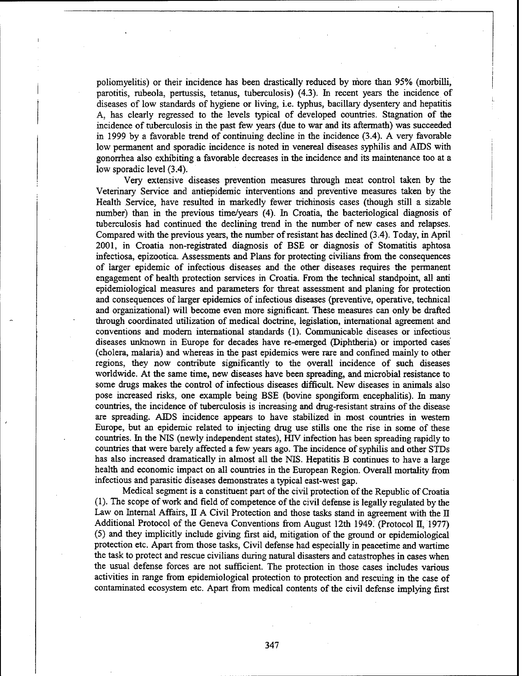poliomyelitis) or their incidence has been drastically reduced by riore than 95% (morbilli, parotitis, rubeola, pertussis, tetanus, tuberculosis) (4.3). In recent years the incidence of diseases of low standards of hygiene or living, i.e. typhus, bacillary dysentery and hepatitis A, has clearly regressed to the levels typical of developed countries. Stagnation of the incidence of tuberculosis in the past few years (due to war and its aftermath) was succeeded in 1999 by a favorable trend of continuing decline in the incidence (3.4). A very favorable low permanent and sporadic incidence is noted in venereal diseases syphilis and AIDS with gonorrhea also exhibiting a favorable decreases in the incidence and its maintenance too at a low sporadic level (3.4).

Very extensive diseases prevention measures through meat control taken by the Veterinary Service and antiepidemic interventions and preventive measures taken by the Health Service, have resulted in markedly fewer trichinosis cases (though still a sizable number) than in the previous time/years (4). In Croatia, the bacteriological diagnosis of tuberculosis had continued the declining trend in the number of new cases and relapses. Compared with the previous years, the number of resistant has declined (3.4). Today, in April 2001, in Croatia non-registrated diagnosis of BSE or diagnosis of Stomatitis aphtosa infectiosa, epizootica. Assessments and Plans for protecting civilians from the consequences of larger epidemic of infectious diseases and the other diseases requires the permanent engagement of health protection services in Croatia. From the technical standpoint, all anti epidemiological measures and parameters for threat assessment and planing for protection and consequences of larger epidemics of infectious diseases (preventive, operative, technical and organizational) will become even more significant. These measures can only be drafted through coordinated utilization of medical doctrine, legislation, international agreement and conventions and modem international standards (1). Communicable diseases or infectious diseases unknown in Europe for decades have re-emerged (Diphtheria) or imported cases (cholera, malaria) and whereas in the past epidemics were rare and confined mainly to other regions, they now contribute significantly to the overall incidence of such diseases worldwide. At the same time, new diseases have been spreading, and microbial resistance to some drugs makes the control of infectious diseases difficult. New diseases in animals also pose increased risks, one example being BSE (bovine spongiform encephalitis). In many countries, the incidence of tuberculosis is increasing and drug-resistant strains of the disease are spreading. AIDS incidence appears to have stabilized in most countries in western Europe, but an epidemic related to injecting drug use stills one the rise in some of these countries. In the NIS (newly independent states), HIV infection has been spreading rapidly to countries that were barely affected a few years ago. The incidence of syphilis and other STDs has also increased dramatically in almost all the NIS. Hepatitis B continues to have a large health and economic impact on all countries in the European Region. Overall mortality from infectious and parasitic diseases demonstrates a typical east-west gap.

Medical segment is a constituent part of the civil protection of the Republic of Croatia (1). The scope of work and field of competence of the civil defense is legally regulated by the Law on Internal Affairs, II A Civil Protection and those tasks stand in agreement with the  $\Pi$ Additional Protocol of the Geneva Conventions from August 12th 1949. (Protocol II, 1977) (5) and they implicitly include giving first aid, mitigation of the ground or epidemiological protection etc. Apart from those tasks, Civil defense had especially in peacetime and wartime the task to protect and rescue civilians during natural disasters and catastrophes in cases when the usual defense forces are not sufficient. The protection in those cases includes various activities in range from epidemiological protection to protection and rescuing in the case of contaminated ecosystem etc. Apart from medical contents of the civil defense implying first